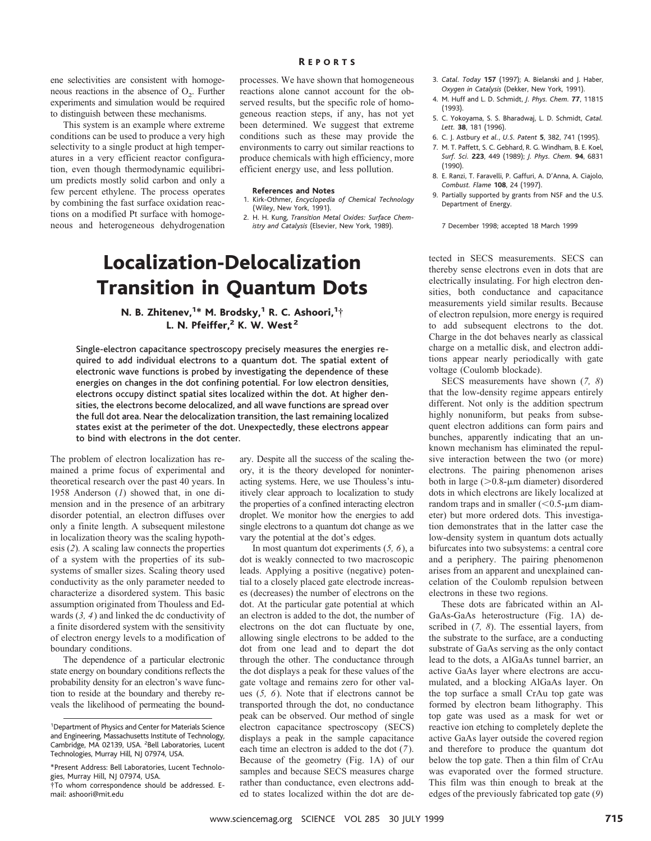ene selectivities are consistent with homogeneous reactions in the absence of  $O<sub>2</sub>$ . Further experiments and simulation would be required to distinguish between these mechanisms.

This system is an example where extreme conditions can be used to produce a very high selectivity to a single product at high temperatures in a very efficient reactor configuration, even though thermodynamic equilibrium predicts mostly solid carbon and only a few percent ethylene. The process operates by combining the fast surface oxidation reactions on a modified Pt surface with homogeneous and heterogeneous dehydrogenation

### R EPORTS

processes. We have shown that homogeneous reactions alone cannot account for the observed results, but the specific role of homogeneous reaction steps, if any, has not yet been determined. We suggest that extreme conditions such as these may provide the environments to carry out similar reactions to produce chemicals with high efficiency, more efficient energy use, and less pollution.

## **References and Notes**

- 1. Kirk-Othmer, *Encyclopedia of Chemical Technology* (Wiley, New York, 1991).
- 2. H. H. Kung, *Transition Metal Oxides: Surface Chemistry and Catalysis* (Elsevier, New York, 1989).

## Localization-Delocalization Transition in Quantum Dots

N. B. Zhitenev, $1*$  M. Brodsky, $1*$  R. C. Ashoori, $1\dagger$ L. N. Pfeiffer, $2$  K. W. West $2$ 

Single-electron capacitance spectroscopy precisely measures the energies required to add individual electrons to a quantum dot. The spatial extent of electronic wave functions is probed by investigating the dependence of these energies on changes in the dot confining potential. For low electron densities, electrons occupy distinct spatial sites localized within the dot. At higher densities, the electrons become delocalized, and all wave functions are spread over the full dot area. Near the delocalization transition, the last remaining localized states exist at the perimeter of the dot. Unexpectedly, these electrons appear to bind with electrons in the dot center.

The problem of electron localization has remained a prime focus of experimental and theoretical research over the past 40 years. In 1958 Anderson (*1*) showed that, in one dimension and in the presence of an arbitrary disorder potential, an electron diffuses over only a finite length. A subsequent milestone in localization theory was the scaling hypothesis (*2*)*.* A scaling law connects the properties of a system with the properties of its subsystems of smaller sizes. Scaling theory used conductivity as the only parameter needed to characterize a disordered system. This basic assumption originated from Thouless and Edwards (*3, 4*) and linked the dc conductivity of a finite disordered system with the sensitivity of electron energy levels to a modification of boundary conditions.

The dependence of a particular electronic state energy on boundary conditions reflects the probability density for an electron's wave function to reside at the boundary and thereby reveals the likelihood of permeating the boundary. Despite all the success of the scaling theory, it is the theory developed for noninteracting systems. Here, we use Thouless's intuitively clear approach to localization to study the properties of a confined interacting electron droplet. We monitor how the energies to add single electrons to a quantum dot change as we vary the potential at the dot's edges.

In most quantum dot experiments (*5, 6*), a dot is weakly connected to two macroscopic leads. Applying a positive (negative) potential to a closely placed gate electrode increases (decreases) the number of electrons on the dot. At the particular gate potential at which an electron is added to the dot, the number of electrons on the dot can fluctuate by one, allowing single electrons to be added to the dot from one lead and to depart the dot through the other. The conductance through the dot displays a peak for these values of the gate voltage and remains zero for other values (*5, 6*). Note that if electrons cannot be transported through the dot, no conductance peak can be observed. Our method of single electron capacitance spectroscopy (SECS) displays a peak in the sample capacitance each time an electron is added to the dot (*7*). Because of the geometry (Fig. 1A) of our samples and because SECS measures charge rather than conductance, even electrons added to states localized within the dot are de-

- 3. *Catal. Today* **157** (1997); A. Bielanski and J. Haber, *Oxygen in Catalysis* (Dekker, New York, 1991).
- 4. M. Huff and L. D. Schmidt, *J. Phys. Chem.* **77**, 11815 (1993).
- 5. C. Yokoyama, S. S. Bharadwaj, L. D. Schmidt, *Catal. Lett.* **38**, 181 (1996).
- 6. C. J. Astbury *et al.*, *U.S. Patent* **5**, 382, 741 (1995).
- 7. M. T. Paffett, S. C. Gebhard, R. G. Windham, B. E. Koel, *Surf. Sci.* **223**, 449 (1989); *J. Phys. Chem.* **94**, 6831 (1990).
- 8. E. Ranzi, T. Faravelli, P. Gaffuri, A. D'Anna, A. Ciajolo, *Combust. Flame* **108**, 24 (1997).
- 9. Partially supported by grants from NSF and the U.S. Department of Energy.

7 December 1998; accepted 18 March 1999

tected in SECS measurements. SECS can thereby sense electrons even in dots that are electrically insulating. For high electron densities, both conductance and capacitance measurements yield similar results. Because of electron repulsion, more energy is required to add subsequent electrons to the dot. Charge in the dot behaves nearly as classical charge on a metallic disk, and electron additions appear nearly periodically with gate voltage (Coulomb blockade).

SECS measurements have shown (*7, 8*) that the low-density regime appears entirely different. Not only is the addition spectrum highly nonuniform, but peaks from subsequent electron additions can form pairs and bunches, apparently indicating that an unknown mechanism has eliminated the repulsive interaction between the two (or more) electrons. The pairing phenomenon arises both in large  $(>0.8$ - $\mu$ m diameter) disordered dots in which electrons are likely localized at random traps and in smaller  $(< 0.5$ - $\mu$ m diameter) but more ordered dots. This investigation demonstrates that in the latter case the low-density system in quantum dots actually bifurcates into two subsystems: a central core and a periphery. The pairing phenomenon arises from an apparent and unexplained cancelation of the Coulomb repulsion between electrons in these two regions.

These dots are fabricated within an Al-GaAs-GaAs heterostructure (Fig. 1A) described in (*7, 8*). The essential layers, from the substrate to the surface, are a conducting substrate of GaAs serving as the only contact lead to the dots, a AlGaAs tunnel barrier, an active GaAs layer where electrons are accumulated, and a blocking AlGaAs layer. On the top surface a small CrAu top gate was formed by electron beam lithography. This top gate was used as a mask for wet or reactive ion etching to completely deplete the active GaAs layer outside the covered region and therefore to produce the quantum dot below the top gate. Then a thin film of CrAu was evaporated over the formed structure. This film was thin enough to break at the edges of the previously fabricated top gate (*9*)

<sup>&</sup>lt;sup>1</sup>Department of Physics and Center for Materials Science and Engineering, Massachusetts Institute of Technology, Cambridge, MA 02139, USA. <sup>2</sup> Bell Laboratories, Lucent Technologies, Murray Hill, NJ 07974, USA.

<sup>\*</sup>Present Address: Bell Laboratories, Lucent Technologies, Murray Hill, NJ 07974, USA. †To whom correspondence should be addressed. Email: ashoori@mit.edu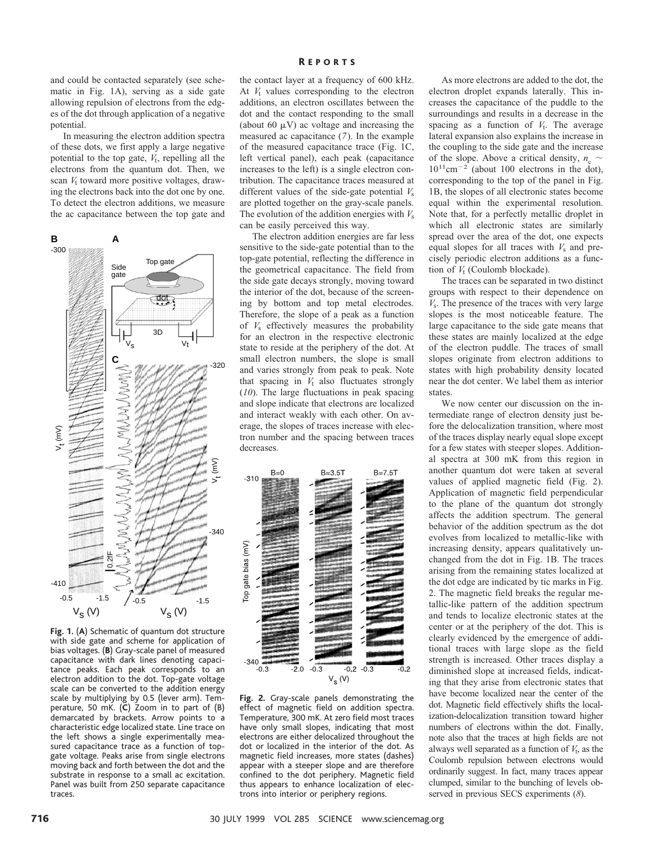and could be contacted separately (see schematic in Fig. 1A), serving as a side gate allowing repulsion of electrons from the edges of the dot through application of a negative potential.

In measuring the electron addition spectra of these dots, we first apply a large negative potential to the top gate,  $V_t$ , repelling all the electrons from the quantum dot. Then, we scan  $V_t$  toward more positive voltages, drawing the electrons back into the dot one by one. To detect the electron additions, we measure the ac capacitance between the top gate and



**Fig. 1.** (**A**) Schematic of quantum dot structure with side gate and scheme for application of bias voltages. (**B**) Gray-scale panel of measured capacitance with dark lines denoting capacitance peaks. Each peak corresponds to an electron addition to the dot. Top-gate voltage scale can be converted to the addition energy scale by multiplying by 0.5 (lever arm). Temperature, 50 mK. (**C**) Zoom in to part of (B) demarcated by brackets. Arrow points to a characteristic edge localized state. Line trace on the left shows a single experimentally measured capacitance trace as a function of topgate voltage. Peaks arise from single electrons moving back and forth between the dot and the substrate in response to a small ac excitation. Panel was built from 250 separate capacitance traces.

the contact layer at a frequency of 600 kHz. At  $V_t$  values corresponding to the electron additions, an electron oscillates between the dot and the contact responding to the small (about 60  $\mu$ V) ac voltage and increasing the measured ac capacitance (*7*). In the example of the measured capacitance trace (Fig. 1C, left vertical panel), each peak (capacitance increases to the left) is a single electron contribution. The capacitance traces measured at different values of the side-gate potential *V*<sup>s</sup> are plotted together on the gray-scale panels. The evolution of the addition energies with *V*<sup>s</sup> can be easily perceived this way.

The electron addition energies are far less sensitive to the side-gate potential than to the top-gate potential, reflecting the difference in the geometrical capacitance. The field from the side gate decays strongly, moving toward the interior of the dot, because of the screening by bottom and top metal electrodes. Therefore, the slope of a peak as a function of *V*<sup>s</sup> effectively measures the probability for an electron in the respective electronic state to reside at the periphery of the dot. At small electron numbers, the slope is small and varies strongly from peak to peak. Note that spacing in  $V_t$  also fluctuates strongly (*10*). The large fluctuations in peak spacing and slope indicate that electrons are localized and interact weakly with each other. On average, the slopes of traces increase with electron number and the spacing between traces decreases.



**Fig. 2.** Gray-scale panels demonstrating the effect of magnetic field on addition spectra. Temperature, 300 mK. At zero field most traces have only small slopes, indicating that most electrons are either delocalized throughout the dot or localized in the interior of the dot. As magnetic field increases, more states (dashes) appear with a steeper slope and are therefore confined to the dot periphery. Magnetic field thus appears to enhance localization of electrons into interior or periphery regions.

As more electrons are added to the dot, the electron droplet expands laterally. This increases the capacitance of the puddle to the surroundings and results in a decrease in the spacing as a function of  $V_t$ . The average lateral expansion also explains the increase in the coupling to the side gate and the increase of the slope. Above a critical density,  $n_c \sim$  $10^{11}$ cm<sup>-2</sup> (about 100 electrons in the dot), corresponding to the top of the panel in Fig. 1B, the slopes of all electronic states become equal within the experimental resolution. Note that, for a perfectly metallic droplet in which all electronic states are similarly spread over the area of the dot, one expects equal slopes for all traces with  $V<sub>s</sub>$  and precisely periodic electron additions as a function of  $V_t$  (Coulomb blockade).

The traces can be separated in two distinct groups with respect to their dependence on *V*s. The presence of the traces with very large slopes is the most noticeable feature. The large capacitance to the side gate means that these states are mainly localized at the edge of the electron puddle. The traces of small slopes originate from electron additions to states with high probability density located near the dot center. We label them as interior states.

We now center our discussion on the intermediate range of electron density just before the delocalization transition, where most of the traces display nearly equal slope except for a few states with steeper slopes. Additional spectra at 300 mK from this region in another quantum dot were taken at several values of applied magnetic field (Fig. 2). Application of magnetic field perpendicular to the plane of the quantum dot strongly affects the addition spectrum. The general behavior of the addition spectrum as the dot evolves from localized to metallic-like with increasing density, appears qualitatively unchanged from the dot in Fig. 1B. The traces arising from the remaining states localized at the dot edge are indicated by tic marks in Fig. 2. The magnetic field breaks the regular metallic-like pattern of the addition spectrum and tends to localize electronic states at the center or at the periphery of the dot. This is clearly evidenced by the emergence of additional traces with large slope as the field strength is increased. Other traces display a diminished slope at increased fields, indicating that they arise from electronic states that have become localized near the center of the dot. Magnetic field effectively shifts the localization-delocalization transition toward higher numbers of electrons within the dot. Finally, note also that the traces at high fields are not always well separated as a function of  $V_t$ , as the Coulomb repulsion between electrons would ordinarily suggest. In fact, many traces appear clumped, similar to the bunching of levels observed in previous SECS experiments (*8*).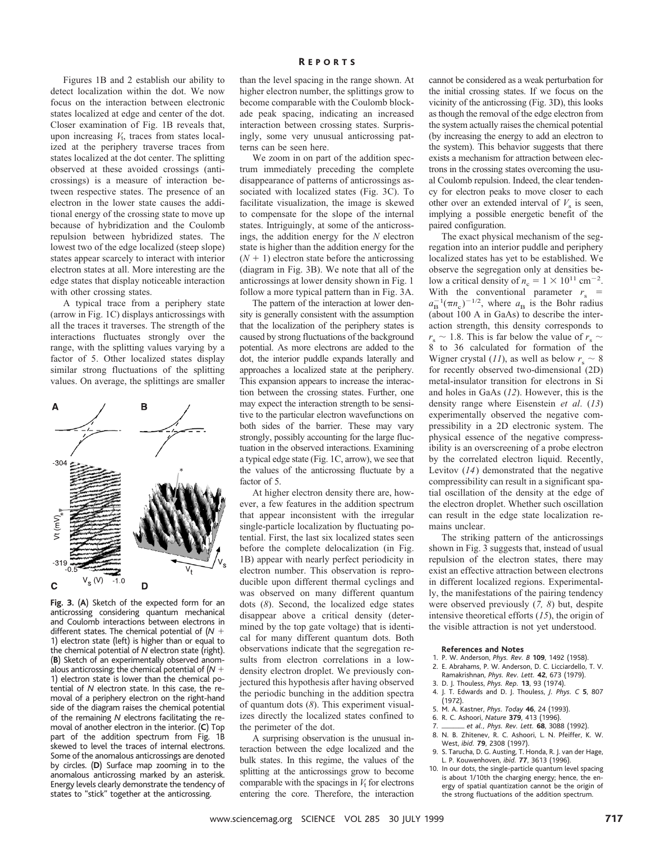Figures 1B and 2 establish our ability to detect localization within the dot. We now focus on the interaction between electronic states localized at edge and center of the dot. Closer examination of Fig. 1B reveals that, upon increasing  $V_t$ , traces from states localized at the periphery traverse traces from states localized at the dot center. The splitting observed at these avoided crossings (anticrossings) is a measure of interaction between respective states. The presence of an electron in the lower state causes the additional energy of the crossing state to move up because of hybridization and the Coulomb repulsion between hybridized states. The lowest two of the edge localized (steep slope) states appear scarcely to interact with interior electron states at all. More interesting are the edge states that display noticeable interaction with other crossing states.

A typical trace from a periphery state (arrow in Fig. 1C) displays anticrossings with all the traces it traverses. The strength of the interactions fluctuates strongly over the range, with the splitting values varying by a factor of 5. Other localized states display similar strong fluctuations of the splitting values. On average, the splittings are smaller



**Fig. 3.** (**A**) Sketch of the expected form for an anticrossing considering quantum mechanical and Coulomb interactions between electrons in different states. The chemical potential of  $(N +$ 1) electron state (left) is higher than or equal to the chemical potential of *N* electron state (right). (**B**) Sketch of an experimentally observed anomalous anticrossing; the chemical potential of  $(N +$ 1) electron state is lower than the chemical potential of *N* electron state. In this case, the removal of a periphery electron on the right-hand side of the diagram raises the chemical potential of the remaining *N* electrons facilitating the removal of another electron in the interior. (**C**) Top part of the addition spectrum from Fig. 1B skewed to level the traces of internal electrons. Some of the anomalous anticrossings are denoted by circles. (**D**) Surface map zooming in to the anomalous anticrossing marked by an asterisk. Energy levels clearly demonstrate the tendency of states to "stick" together at the anticrossing.

than the level spacing in the range shown. At higher electron number, the splittings grow to become comparable with the Coulomb blockade peak spacing, indicating an increased interaction between crossing states. Surprisingly, some very unusual anticrossing patterns can be seen here.

We zoom in on part of the addition spectrum immediately preceding the complete disappearance of patterns of anticrossings associated with localized states (Fig. 3C). To facilitate visualization, the image is skewed to compensate for the slope of the internal states. Intriguingly, at some of the anticrossings, the addition energy for the *N* electron state is higher than the addition energy for the  $(N + 1)$  electron state before the anticrossing (diagram in Fig. 3B). We note that all of the anticrossings at lower density shown in Fig. 1 follow a more typical pattern than in Fig. 3A.

The pattern of the interaction at lower density is generally consistent with the assumption that the localization of the periphery states is caused by strong fluctuations of the background potential. As more electrons are added to the dot, the interior puddle expands laterally and approaches a localized state at the periphery. This expansion appears to increase the interaction between the crossing states. Further, one may expect the interaction strength to be sensitive to the particular electron wavefunctions on both sides of the barrier. These may vary strongly, possibly accounting for the large fluctuation in the observed interactions. Examining a typical edge state (Fig. 1C, arrow), we see that the values of the anticrossing fluctuate by a factor of 5.

At higher electron density there are, however, a few features in the addition spectrum that appear inconsistent with the irregular single-particle localization by fluctuating potential. First, the last six localized states seen before the complete delocalization (in Fig. 1B) appear with nearly perfect periodicity in electron number. This observation is reproducible upon different thermal cyclings and was observed on many different quantum dots (*8*). Second, the localized edge states disappear above a critical density (determined by the top gate voltage) that is identical for many different quantum dots. Both observations indicate that the segregation results from electron correlations in a lowdensity electron droplet. We previously conjectured this hypothesis after having observed the periodic bunching in the addition spectra of quantum dots (*8*). This experiment visualizes directly the localized states confined to the perimeter of the dot.

A surprising observation is the unusual interaction between the edge localized and the bulk states. In this regime, the values of the splitting at the anticrossings grow to become comparable with the spacings in  $V_t$  for electrons entering the core. Therefore, the interaction cannot be considered as a weak perturbation for the initial crossing states. If we focus on the vicinity of the anticrossing (Fig. 3D), this looks as though the removal of the edge electron from the system actually raises the chemical potential (by increasing the energy to add an electron to the system). This behavior suggests that there exists a mechanism for attraction between electrons in the crossing states overcoming the usual Coulomb repulsion. Indeed, the clear tendency for electron peaks to move closer to each other over an extended interval of  $V<sub>s</sub>$  is seen, implying a possible energetic benefit of the paired configuration.

The exact physical mechanism of the segregation into an interior puddle and periphery localized states has yet to be established. We observe the segregation only at densities below a critical density of  $n_c = 1 \times 10^{11}$  cm<sup>-2</sup>. With the conventional parameter  $r_s$  =  $a_{\rm B}^{-1}(\pi n_{\rm c})^{-1/2}$ , where  $a_{\rm B}$  is the Bohr radius (about 100 A in GaAs) to describe the interaction strength, this density corresponds to  $r_s \sim 1.8$ . This is far below the value of  $r_s \sim$ 8 to 36 calculated for formation of the Wigner crystal (*11*), as well as below  $r_s \sim 8$ for recently observed two-dimensional (2D) metal-insulator transition for electrons in Si and holes in GaAs (*12*). However, this is the density range where Eisenstein *et al*. (*13*) experimentally observed the negative compressibility in a 2D electronic system. The physical essence of the negative compressibility is an overscreening of a probe electron by the correlated electron liquid. Recently, Levitov (*14*) demonstrated that the negative compressibility can result in a significant spatial oscillation of the density at the edge of the electron droplet. Whether such oscillation can result in the edge state localization remains unclear.

The striking pattern of the anticrossings shown in Fig. 3 suggests that, instead of usual repulsion of the electron states, there may exist an effective attraction between electrons in different localized regions. Experimentally, the manifestations of the pairing tendency were observed previously (*7, 8*) but, despite intensive theoretical efforts (*15*), the origin of the visible attraction is not yet understood.

#### **References and Notes**

- 1. P. W. Anderson, *Phys. Rev. B* **109**, 1492 (1958). 2. E. Abrahams, P. W. Anderson, D. C. Licciardello, T. V.
- Ramakrishnan, *Phys. Rev. Lett.* **42**, 673 (1979).
- 3. D. J. Thouless, *Phys. Rep.* **13**, 93 (1974).
- 4. J. T. Edwards and D. J. Thouless, *J. Phys. C* **5**, 807 (1972).
- 5. M. A. Kastner, *Phys. Today* **46**, 24 (1993).
- 6. R. C. Ashoori, *Nature* **379**, 413 (1996).
- 7. \_\_\_\_\_\_\_ et al., Phys. Rev. Lett. **68**, 3088 (1992).
- 8. N. B. Zhitenev, R. C. Ashoori, L. N. Pfeiffer, K. W. West, *ibid.* **79**, 2308 (1997).
- 9. S. Tarucha, D. G. Austing, T. Honda, R. J. van der Hage, L. P. Kouwenhoven, *ibid.* **77**, 3613 (1996).
- 10. In our dots, the single-particle quantum level spacing is about 1/10th the charging energy; hence, the energy of spatial quantization cannot be the origin of the strong fluctuations of the addition spectrum.